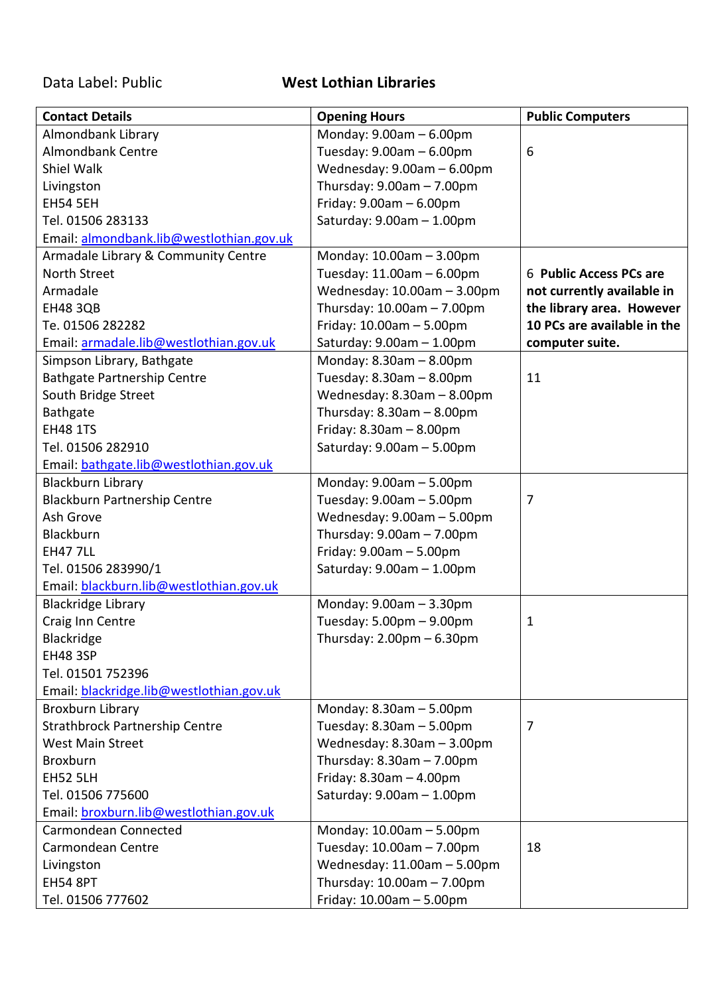## Data Label: Public **West Lothian Libraries**

| <b>Contact Details</b>                   | <b>Opening Hours</b>            | <b>Public Computers</b>     |
|------------------------------------------|---------------------------------|-----------------------------|
| Almondbank Library                       | Monday: 9.00am - 6.00pm         |                             |
| <b>Almondbank Centre</b>                 | Tuesday: $9.00am - 6.00pm$      | 6                           |
| Shiel Walk                               | Wednesday: 9.00am - 6.00pm      |                             |
| Livingston                               | Thursday: $9.00am - 7.00pm$     |                             |
| <b>EH54 5EH</b>                          | Friday: $9.00$ am $- 6.00$ pm   |                             |
| Tel. 01506 283133                        | Saturday: 9.00am - 1.00pm       |                             |
| Email: almondbank.lib@westlothian.gov.uk |                                 |                             |
| Armadale Library & Community Centre      | Monday: 10.00am - 3.00pm        |                             |
| North Street                             | Tuesday: 11.00am - 6.00pm       | 6 Public Access PCs are     |
| Armadale                                 | Wednesday: 10.00am - 3.00pm     | not currently available in  |
| <b>EH48 3QB</b>                          | Thursday: 10.00am - 7.00pm      | the library area. However   |
| Te. 01506 282282                         | Friday: $10.00$ am $-5.00$ pm   | 10 PCs are available in the |
| Email: armadale.lib@westlothian.gov.uk   | Saturday: $9.00am - 1.00pm$     | computer suite.             |
| Simpson Library, Bathgate                | Monday: $8.30$ am $- 8.00$ pm   |                             |
| <b>Bathgate Partnership Centre</b>       | Tuesday: $8.30$ am $- 8.00$ pm  | 11                          |
| South Bridge Street                      | Wednesday: 8.30am - 8.00pm      |                             |
| Bathgate                                 | Thursday: $8.30$ am $- 8.00$ pm |                             |
| <b>EH48 1TS</b>                          | Friday: $8.30$ am $- 8.00$ pm   |                             |
| Tel. 01506 282910                        | Saturday: $9.00am - 5.00pm$     |                             |
| Email: bathgate.lib@westlothian.gov.uk   |                                 |                             |
| <b>Blackburn Library</b>                 | Monday: 9.00am - 5.00pm         |                             |
| <b>Blackburn Partnership Centre</b>      | Tuesday: 9.00am - 5.00pm        | 7                           |
| Ash Grove                                | Wednesday: 9.00am - 5.00pm      |                             |
| Blackburn                                | Thursday: $9.00am - 7.00pm$     |                             |
| <b>EH47 7LL</b>                          | Friday: $9.00am - 5.00pm$       |                             |
| Tel. 01506 283990/1                      | Saturday: $9.00am - 1.00pm$     |                             |
| Email: blackburn.lib@westlothian.gov.uk  |                                 |                             |
| <b>Blackridge Library</b>                | Monday: $9.00am - 3.30pm$       |                             |
| Craig Inn Centre                         | Tuesday: 5.00pm - 9.00pm        | 1                           |
| Blackridge                               | Thursday: 2.00pm – 6.30pm       |                             |
| <b>EH48 3SP</b>                          |                                 |                             |
| Tel. 01501 752396                        |                                 |                             |
| Email: blackridge.lib@westlothian.gov.uk |                                 |                             |
| <b>Broxburn Library</b>                  | Monday: $8.30$ am $-5.00$ pm    |                             |
| <b>Strathbrock Partnership Centre</b>    | Tuesday: $8.30$ am $-5.00$ pm   | 7                           |
| <b>West Main Street</b>                  | Wednesday: $8.30$ am $-3.00$ pm |                             |
| Broxburn                                 | Thursday: $8.30$ am $- 7.00$ pm |                             |
| <b>EH52 5LH</b>                          | Friday: $8.30$ am $- 4.00$ pm   |                             |
| Tel. 01506 775600                        | Saturday: 9.00am - 1.00pm       |                             |
| Email: broxburn.lib@westlothian.gov.uk   |                                 |                             |
| Carmondean Connected                     | Monday: 10.00am - 5.00pm        |                             |
| Carmondean Centre                        | Tuesday: 10.00am - 7.00pm       | 18                          |
|                                          |                                 |                             |
| Livingston<br><b>EH54 8PT</b>            | Wednesday: 11.00am - 5.00pm     |                             |
|                                          | Thursday: $10.00am - 7.00pm$    |                             |
| Tel. 01506 777602                        | Friday: $10.00$ am $- 5.00$ pm  |                             |